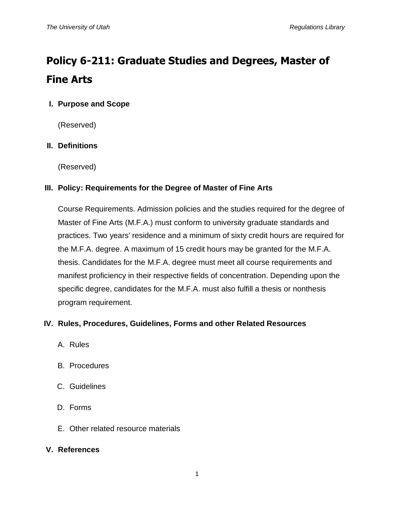# **Policy 6-211: Graduate Studies and Degrees, Master of Fine Arts**

## **I. Purpose and Scope**

(Reserved)

## **II. Definitions**

(Reserved)

## **III. Policy: Requirements for the Degree of Master of Fine Arts**

Course Requirements. Admission policies and the studies required for the degree of Master of Fine Arts (M.F.A.) must conform to university graduate standards and practices. Two years' residence and a minimum of sixty credit hours are required for the M.F.A. degree. A maximum of 15 credit hours may be granted for the M.F.A. thesis. Candidates for the M.F.A. degree must meet all course requirements and manifest proficiency in their respective fields of concentration. Depending upon the specific degree, candidates for the M.F.A. must also fulfill a thesis or nonthesis program requirement.

## **IV. Rules, Procedures, Guidelines, Forms and other Related Resources**

- A. Rules
- B. Procedures
- C. Guidelines
- D. Forms
- E. Other related resource materials

#### **V. References**